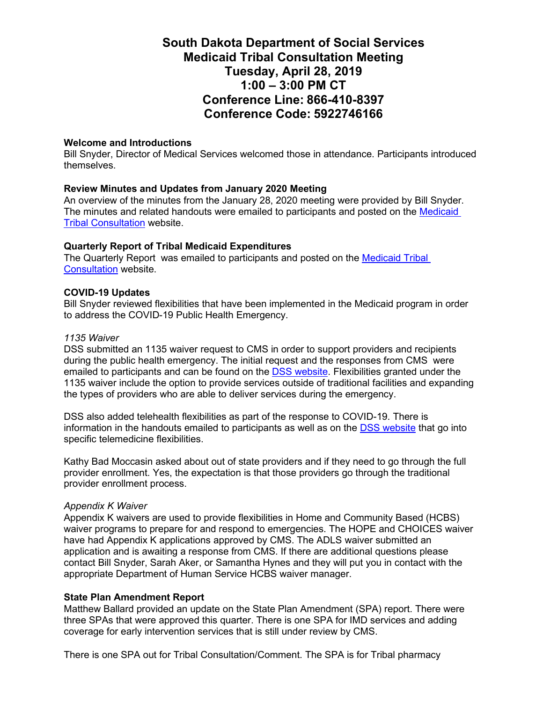# **South Dakota Department of Social Services Medicaid Tribal Consultation Meeting Tuesday, April 28, 2019 1:00 – 3:00 PM CT Conference Line: 866-410-8397 Conference Code: 5922746166**

### **Welcome and Introductions**

Bill Snyder, Director of Medical Services welcomed those in attendance. Participants introduced themselves.

## **Review Minutes and Updates from January 2020 Meeting**

An overview of the minutes from the January 28, 2020 meeting were provided by Bill Snyder. The minutes and related handouts were emailed to participants and posted on the [Medicaid](https://dss.sd.gov/medicaid/generalinfo/tribalconsultation.aspx)  **[Tribal Consultation](https://dss.sd.gov/medicaid/generalinfo/tribalconsultation.aspx) website.** 

## **Quarterly Report of Tribal Medicaid Expenditures**

The Quarterly Report was emailed to participants and posted on the [Medicaid Tribal](https://dss.sd.gov/medicaid/generalinfo/tribalconsultation.aspx)  [Consultation](https://dss.sd.gov/medicaid/generalinfo/tribalconsultation.aspx) website.

#### **COVID-19 Updates**

Bill Snyder reviewed flexibilities that have been implemented in the Medicaid program in order to address the COVID-19 Public Health Emergency.

#### *1135 Waiver*

DSS submitted an 1135 waiver request to CMS in order to support providers and recipients during the public health emergency. The initial request and the responses from CMS were emailed to participants and can be found on the [DSS website.](https://dss.sd.gov/keyresources/recentnews.aspx) Flexibilities granted under the 1135 waiver include the option to provide services outside of traditional facilities and expanding the types of providers who are able to deliver services during the emergency.

DSS also added telehealth flexibilities as part of the response to COVID-19. There is information in the handouts emailed to participants as well as on the [DSS website](https://dss.sd.gov/keyresources/recentnews.aspx) that go into specific telemedicine flexibilities.

Kathy Bad Moccasin asked about out of state providers and if they need to go through the full provider enrollment. Yes, the expectation is that those providers go through the traditional provider enrollment process.

#### *Appendix K Waiver*

Appendix K waivers are used to provide flexibilities in Home and Community Based (HCBS) waiver programs to prepare for and respond to emergencies. The HOPE and CHOICES waiver have had Appendix K applications approved by CMS. The ADLS waiver submitted an application and is awaiting a response from CMS. If there are additional questions please contact Bill Snyder, Sarah Aker, or Samantha Hynes and they will put you in contact with the appropriate Department of Human Service HCBS waiver manager.

# **State Plan Amendment Report**

Matthew Ballard provided an update on the State Plan Amendment (SPA) report. There were three SPAs that were approved this quarter. There is one SPA for IMD services and adding coverage for early intervention services that is still under review by CMS.

There is one SPA out for Tribal Consultation/Comment. The SPA is for Tribal pharmacy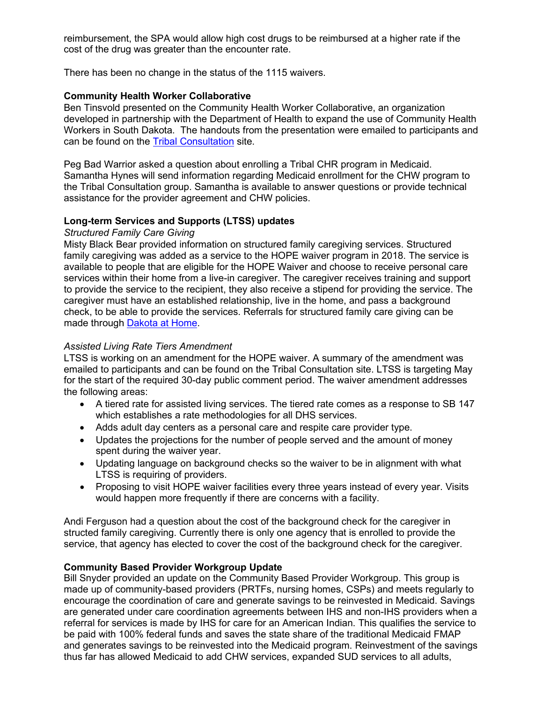reimbursement, the SPA would allow high cost drugs to be reimbursed at a higher rate if the cost of the drug was greater than the encounter rate.

There has been no change in the status of the 1115 waivers.

# **Community Health Worker Collaborative**

Ben Tinsvold presented on the Community Health Worker Collaborative, an organization developed in partnership with the Department of Health to expand the use of Community Health Workers in South Dakota. The handouts from the presentation were emailed to participants and can be found on the [Tribal Consultation](https://dss.sd.gov/medicaid/generalinfo/tribalconsultation.aspx) site.

Peg Bad Warrior asked a question about enrolling a Tribal CHR program in Medicaid. Samantha Hynes will send information regarding Medicaid enrollment for the CHW program to the Tribal Consultation group. Samantha is available to answer questions or provide technical assistance for the provider agreement and CHW policies.

# **Long-term Services and Supports (LTSS) updates**

## *Structured Family Care Giving*

Misty Black Bear provided information on structured family caregiving services. Structured family caregiving was added as a service to the HOPE waiver program in 2018. The service is available to people that are eligible for the HOPE Waiver and choose to receive personal care services within their home from a live-in caregiver. The caregiver receives training and support to provide the service to the recipient, they also receive a stipend for providing the service. The caregiver must have an established relationship, live in the home, and pass a background check, to be able to provide the services. Referrals for structured family care giving can be made through [Dakota at Home.](https://dakotaathome.org/?gclid=EAIaIQobChMIlrC4luau6QIVlOeGCh3NvQjjEAAYASAAEgINq_D_BwE)

## *Assisted Living Rate Tiers Amendment*

LTSS is working on an amendment for the HOPE waiver. A summary of the amendment was emailed to participants and can be found on the Tribal Consultation site. LTSS is targeting May for the start of the required 30-day public comment period. The waiver amendment addresses the following areas:

- A tiered rate for assisted living services. The tiered rate comes as a response to SB 147 which establishes a rate methodologies for all DHS services.
- Adds adult day centers as a personal care and respite care provider type.
- Updates the projections for the number of people served and the amount of money spent during the waiver year.
- Updating language on background checks so the waiver to be in alignment with what LTSS is requiring of providers.
- Proposing to visit HOPE waiver facilities every three years instead of every year. Visits would happen more frequently if there are concerns with a facility.

Andi Ferguson had a question about the cost of the background check for the caregiver in structed family caregiving. Currently there is only one agency that is enrolled to provide the service, that agency has elected to cover the cost of the background check for the caregiver.

# **Community Based Provider Workgroup Update**

Bill Snyder provided an update on the Community Based Provider Workgroup. This group is made up of community-based providers (PRTFs, nursing homes, CSPs) and meets regularly to encourage the coordination of care and generate savings to be reinvested in Medicaid. Savings are generated under care coordination agreements between IHS and non-IHS providers when a referral for services is made by IHS for care for an American Indian. This qualifies the service to be paid with 100% federal funds and saves the state share of the traditional Medicaid FMAP and generates savings to be reinvested into the Medicaid program. Reinvestment of the savings thus far has allowed Medicaid to add CHW services, expanded SUD services to all adults,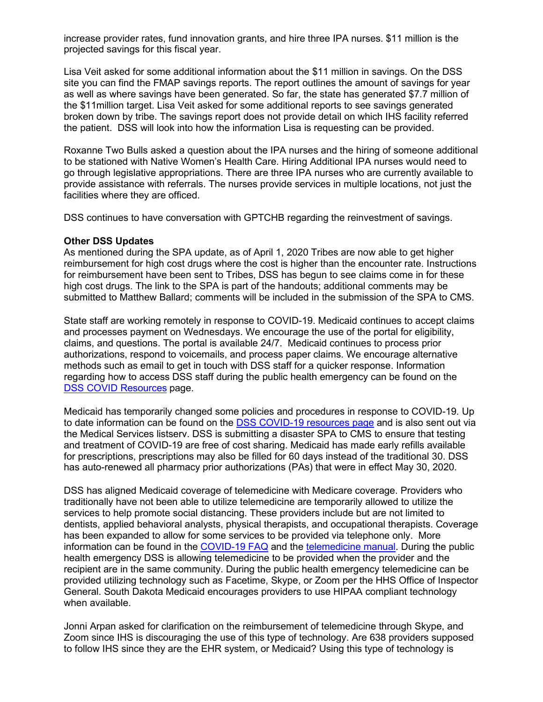increase provider rates, fund innovation grants, and hire three IPA nurses. \$11 million is the projected savings for this fiscal year.

Lisa Veit asked for some additional information about the \$11 million in savings. On the DSS site you can find the FMAP savings reports. The report outlines the amount of savings for year as well as where savings have been generated. So far, the state has generated \$7.7 million of the \$11million target. Lisa Veit asked for some additional reports to see savings generated broken down by tribe. The savings report does not provide detail on which IHS facility referred the patient. DSS will look into how the information Lisa is requesting can be provided.

Roxanne Two Bulls asked a question about the IPA nurses and the hiring of someone additional to be stationed with Native Women's Health Care. Hiring Additional IPA nurses would need to go through legislative appropriations. There are three IPA nurses who are currently available to provide assistance with referrals. The nurses provide services in multiple locations, not just the facilities where they are officed.

DSS continues to have conversation with GPTCHB regarding the reinvestment of savings.

#### **Other DSS Updates**

As mentioned during the SPA update, as of April 1, 2020 Tribes are now able to get higher reimbursement for high cost drugs where the cost is higher than the encounter rate. Instructions for reimbursement have been sent to Tribes, DSS has begun to see claims come in for these high cost drugs. The link to the SPA is part of the handouts; additional comments may be submitted to Matthew Ballard; comments will be included in the submission of the SPA to CMS.

State staff are working remotely in response to COVID-19. Medicaid continues to accept claims and processes payment on Wednesdays. We encourage the use of the portal for eligibility, claims, and questions. The portal is available 24/7. Medicaid continues to process prior authorizations, respond to voicemails, and process paper claims. We encourage alternative methods such as email to get in touch with DSS staff for a quicker response. Information regarding how to access DSS staff during the public health emergency can be found on the [DSS COVID Resources](https://dss.sd.gov/keyresources/recentnews.aspx) page.

Medicaid has temporarily changed some policies and procedures in response to COVID-19. Up to date information can be found on the [DSS COVID-19 resources page](https://dss.sd.gov/keyresources/recentnews.aspx) and is also sent out via the Medical Services listserv. DSS is submitting a disaster SPA to CMS to ensure that testing and treatment of COVID-19 are free of cost sharing. Medicaid has made early refills available for prescriptions, prescriptions may also be filled for 60 days instead of the traditional 30. DSS has auto-renewed all pharmacy prior authorizations (PAs) that were in effect May 30, 2020.

DSS has aligned Medicaid coverage of telemedicine with Medicare coverage. Providers who traditionally have not been able to utilize telemedicine are temporarily allowed to utilize the services to help promote social distancing. These providers include but are not limited to dentists, applied behavioral analysts, physical therapists, and occupational therapists. Coverage has been expanded to allow for some services to be provided via telephone only. More information can be found in the [COVID-19 FAQ](https://dss.sd.gov/docs/COVID19/COVID19_FAQ_Providers.pdf) and the [telemedicine manual.](https://dss.sd.gov/docs/medicaid/providers/billingmanuals/Telemedicine.pdf) During the public health emergency DSS is allowing telemedicine to be provided when the provider and the recipient are in the same community. During the public health emergency telemedicine can be provided utilizing technology such as Facetime, Skype, or Zoom per the HHS Office of Inspector General. South Dakota Medicaid encourages providers to use HIPAA compliant technology when available.

Jonni Arpan asked for clarification on the reimbursement of telemedicine through Skype, and Zoom since IHS is discouraging the use of this type of technology. Are 638 providers supposed to follow IHS since they are the EHR system, or Medicaid? Using this type of technology is